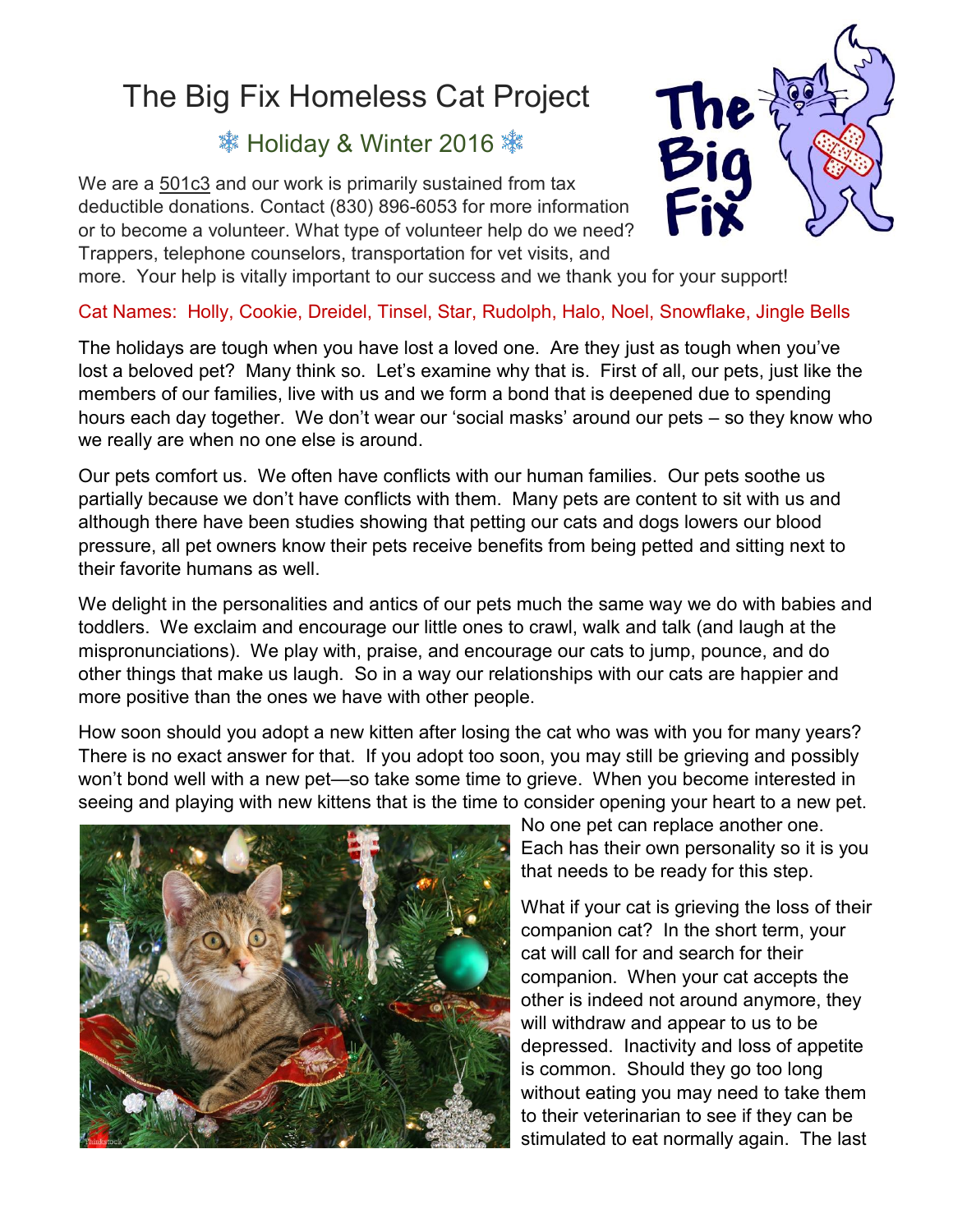## The Big Fix Homeless Cat Project

## **※ Holiday & Winter 2016**

We are a 501c3 and our work is primarily sustained from tax deductible donations. Contact (830) 896-6053 for more information or to become a volunteer. What type of volunteer help do we need? Trappers, telephone counselors, transportation for vet visits, and



more. Your help is vitally important to our success and we thank you for your support!

## Cat Names: Holly, Cookie, Dreidel, Tinsel, Star, Rudolph, Halo, Noel, Snowflake, Jingle Bells

The holidays are tough when you have lost a loved one. Are they just as tough when you've lost a beloved pet? Many think so. Let's examine why that is. First of all, our pets, just like the members of our families, live with us and we form a bond that is deepened due to spending hours each day together. We don't wear our 'social masks' around our pets – so they know who we really are when no one else is around.

Our pets comfort us. We often have conflicts with our human families. Our pets soothe us partially because we don't have conflicts with them. Many pets are content to sit with us and although there have been studies showing that petting our cats and dogs lowers our blood pressure, all pet owners know their pets receive benefits from being petted and sitting next to their favorite humans as well.

We delight in the personalities and antics of our pets much the same way we do with babies and toddlers. We exclaim and encourage our little ones to crawl, walk and talk (and laugh at the mispronunciations). We play with, praise, and encourage our cats to jump, pounce, and do other things that make us laugh. So in a way our relationships with our cats are happier and more positive than the ones we have with other people.

How soon should you adopt a new kitten after losing the cat who was with you for many years? There is no exact answer for that. If you adopt too soon, you may still be grieving and possibly won't bond well with a new pet—so take some time to grieve. When you become interested in seeing and playing with new kittens that is the time to consider opening your heart to a new pet.



No one pet can replace another one. Each has their own personality so it is you that needs to be ready for this step.

What if your cat is grieving the loss of their companion cat? In the short term, your cat will call for and search for their companion. When your cat accepts the other is indeed not around anymore, they will withdraw and appear to us to be depressed. Inactivity and loss of appetite is common. Should they go too long without eating you may need to take them to their veterinarian to see if they can be stimulated to eat normally again. The last